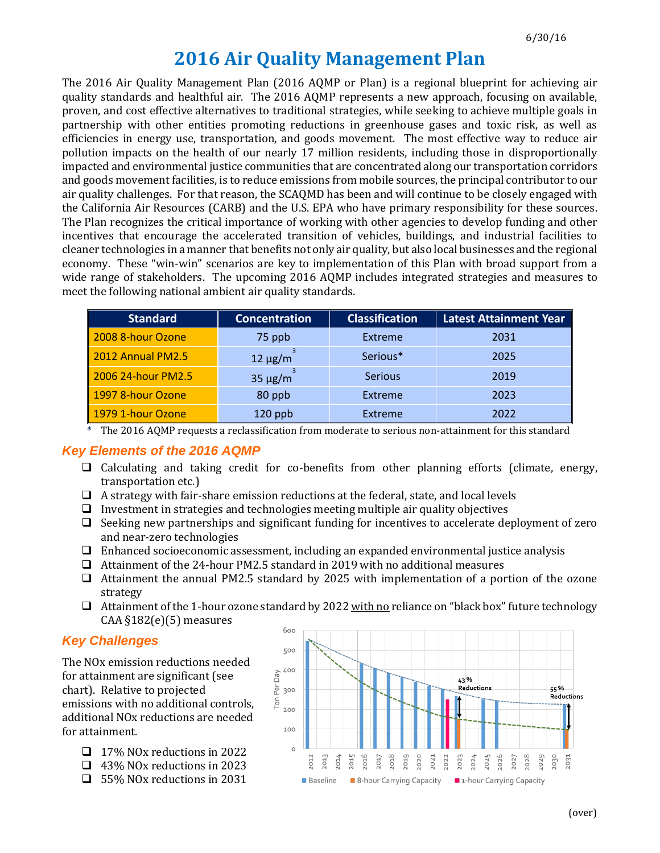# **2016 Air Quality Management Plan**

The 2016 Air Quality Management Plan (2016 AQMP or Plan) is a regional blueprint for achieving air quality standards and healthful air. The 2016 AQMP represents a new approach, focusing on available, proven, and cost effective alternatives to traditional strategies, while seeking to achieve multiple goals in partnership with other entities promoting reductions in greenhouse gases and toxic risk, as well as efficiencies in energy use, transportation, and goods movement. The most effective way to reduce air pollution impacts on the health of our nearly 17 million residents, including those in disproportionally impacted and environmental justice communities that are concentrated along our transportation corridors and goods movement facilities, is to reduce emissions from mobile sources, the principal contributor to our air quality challenges. For that reason, the SCAQMD has been and will continue to be closely engaged with the California Air Resources (CARB) and the U.S. EPA who have primary responsibility for these sources. The Plan recognizes the critical importance of working with other agencies to develop funding and other incentives that encourage the accelerated transition of vehicles, buildings, and industrial facilities to cleaner technologies in a manner that benefits not only air quality, but also local businesses and the regional economy. These "win-win" scenarios are key to implementation of this Plan with broad support from a wide range of stakeholders. The upcoming 2016 AQMP includes integrated strategies and measures to meet the following national ambient air quality standards.

| <b>Standard</b>    | <b>Concentration</b> | <b>Classification</b> | <b>Latest Attainment Year</b> |
|--------------------|----------------------|-----------------------|-------------------------------|
| 2008 8-hour Ozone  | 75 ppb               | Extreme               | 2031                          |
| 2012 Annual PM2.5  | $12 \mu g/m$         | Serious*              | 2025                          |
| 2006 24-hour PM2.5 | $35 \mu g/m$         | <b>Serious</b>        | 2019                          |
| 1997 8-hour Ozone  | 80 ppb               | Extreme               | 2023                          |
| 1979 1-hour Ozone  | $120$ ppb            | Extreme               | 2022                          |

*\** The 2016 AQMP requests a reclassification from moderate to serious non-attainment for this standard

#### *Key Elements of the 2016 AQMP*

- $\Box$  Calculating and taking credit for co-benefits from other planning efforts (climate, energy, transportation etc.)
- $\Box$  A strategy with fair-share emission reductions at the federal, state, and local levels
- $\Box$  Investment in strategies and technologies meeting multiple air quality objectives
- $\Box$  Seeking new partnerships and significant funding for incentives to accelerate deployment of zero and near-zero technologies
- $\Box$  Enhanced socioeconomic assessment, including an expanded environmental justice analysis
- Attainment of the 24-hour PM2.5 standard in 2019 with no additional measures
- Attainment the annual PM2.5 standard by 2025 with implementation of a portion of the ozone strategy
- $\Box$  Attainment of the 1-hour ozone standard by 2022 with no reliance on "black box" future technology CAA  $$182(e)$ (5) measures

## *Key Challenges*

The NOx emission reductions needed for attainment are significant (see chart). Relative to projected emissions with no additional controls, additional NOx reductions are needed for attainment.

- □ 17% NOx reductions in 2022
- 43% NOx reductions in 2023
- □ 55% NOx reductions in 2031